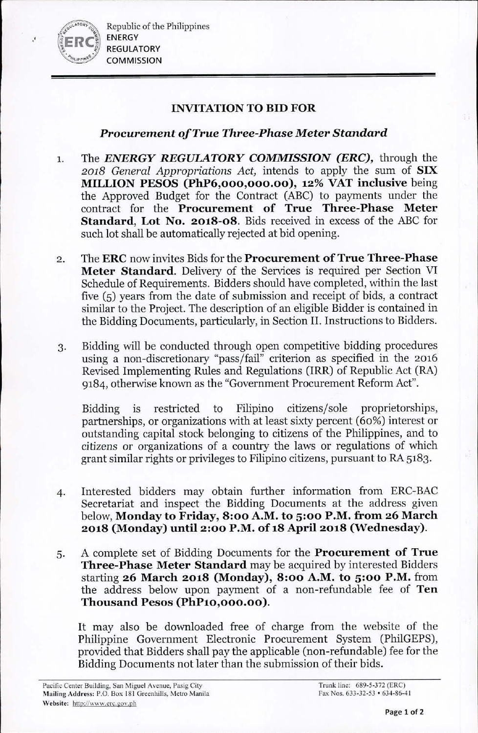Republic of the Philippines ENERGY REGULATORY **COMMISSION** 

.'

## INVITATION TO BID FOR

## *Procurement of True Three-Phase Meter Standard*

- I. The *ENERGY REGULATORY COMMISSION (ERC),* through the *2018 General Appropriations Act,* intends to apply the sum of SIX MILLION PESOS (PhP6,000,000.00), 12% VAT inclusive being the Approved Budget for the Contract (ABC) to payments under the contract for the Procurement of True Three-Phase Meter Standard, Lot No. 2018-08. Bids received in excess of the ABC for such lot shall be automatically rejected at bid opening.
- 2. The ERC now invites Bids for the Procurement of True Three-Phase Meter Standard. Delivery of the Services is required per Section VI Schedule of Requirements. Bidders should have completed, within the last five (5) years from the date of submission and receipt of bids, a contract similar to the Project. The description of an eligible Bidder is contained in the Bidding Documents, particularly, in Section II. Instructions to Bidders.
- 3. Bidding will be conducted through open competitive bidding procedures using a non-discretionary "pass/fail" criterion as specified in the 2016 Revised Implementing Rules and Regulations (IRR) of Republic Act (RA) 9184, otherwise known as the "Government Procurement Reform Act".

Bidding is restricted to Filipino citizens/sole proprietorships, partnerships, or organizations with at least sixty percent (60%) interest or outstanding capital stock belonging to citizens of the Philippines, and to citizens or organizations of a country the laws or regulations of which grant similar rights or privileges to Filipino citizens, pursuant to RA 5183.

- 4. Interested bidders may obtain further information from ERC-BAC Secretariat and inspect the Bidding Documents at the address given below, Monday to Friday, 8:00 A.M. to 5:00 P.M. from 26 March 2018 (Monday) until 2:00 P.M. of 18 April 2018 (Wednesday).
- 5. A complete set of Bidding Documents for the Procurement of True Three-Phase Meter Standard may be acquired by interested Bidders starting 26 March 2018 (Monday), 8:00 A.M. to 5:00 P.M. from the address below upon payment of a non-refundable fee of Ten Thousand Pesos (PhP10,000.00).

It may also be downloaded free of charge from the website of the Philippine Government Electronic Procurement System (PhilGEPS), provided that Bidders shall pay the applicable (non-refundable) fee for the Bidding Documents not later than the submission of their bids.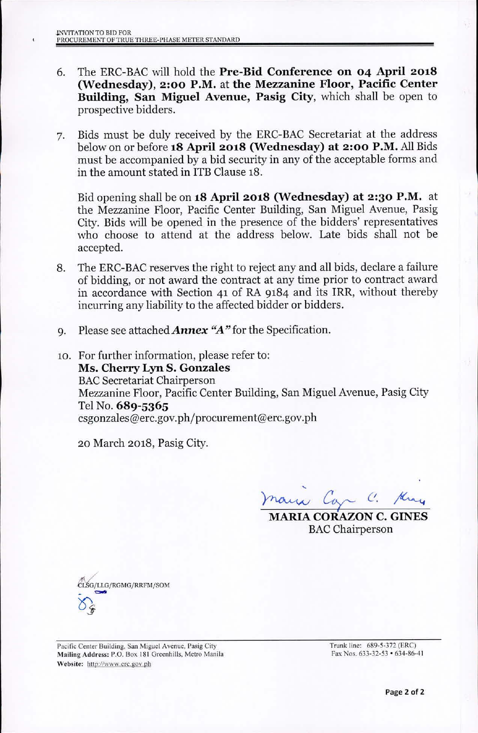- 6. The ERC-BAC will hold the Pre-Bid Conference on 04 April 2018 (Wednesday), 2:00 P.M. at the Mezzanine Floor, Pacific Center Building, San Miguel Avenue, Pasig City, which shall be open to prospective bidders.
- 7. Bids must be duly received by the ERC-BAC Secretariat at the address below on or before 18 April 2018 (Wednesday) at 2:00 P.M. All Bids must be accompanied by a bid security in any of the acceptable forms and in the amount stated in ITB Clause 18.

Bid opening shall be on 18 April 2018 (Wednesday) at 2:30 P.M. at the Mezzanine Floor, Pacific Center Building, San Miguel Avenue, Pasig City. Bids will be opened in the presence of the bidders' representatives who choose to attend at the address below. Late bids shall not be accepted.

- 8. The ERC-BAC reserves the right to reject any and all bids, declare a failure of bidding, or not award the contract at any time prior to contract award in accordance with Section 41 of RA 9184 and its IRR, without thereby incurring any liability to the affected bidder or bidders.
- 9. Please see attached **Annex "A"** for the Specification.
- 10. For further information, please refer to: Ms. Cherry Lyn S. Gonzales **BAC Secretariat Chairperson** Mezzanine Floor, Pacific Center Building, San Miguel Avenue, Pasig City Tel No. 689-5365 [csgonzales@erc.gov.ph/procurement@erc.gov.ph](mailto:csgonzales@erc.gov.ph/procurement@erc.gov.ph)

20 March 2018, Pasig City.

 $_{max}$   $c$ .

MARIA CORAZON C. GINES **BAC** Chairperson



Pacific Center Building, San Miguel Avenue, Pasig City Mailing Address: P.O. Box 181 Greenhills, Metro Manila Website: http://www.erc.gov.ph

Trunk line: 689-5-372 (ERC) Fax Nos. 633-32-53 . 634-86-41